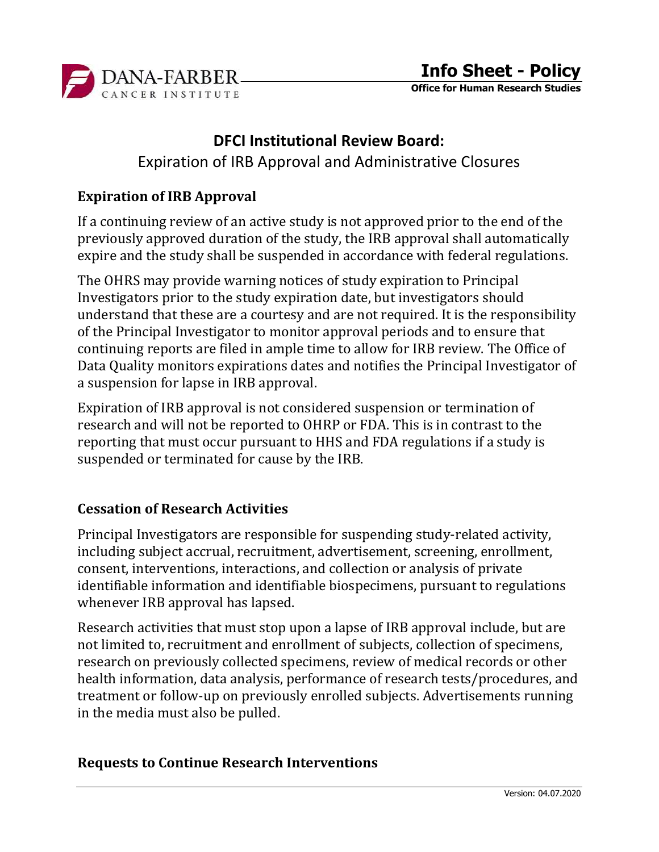

Office for Human Research Studies

# DFCI Institutional Review Board:

Expiration of IRB Approval and Administrative Closures

### Expiration of IRB Approval

If a continuing review of an active study is not approved prior to the end of the previously approved duration of the study, the IRB approval shall automatically expire and the study shall be suspended in accordance with federal regulations.

The OHRS may provide warning notices of study expiration to Principal Investigators prior to the study expiration date, but investigators should understand that these are a courtesy and are not required. It is the responsibility of the Principal Investigator to monitor approval periods and to ensure that continuing reports are filed in ample time to allow for IRB review. The Office of Data Quality monitors expirations dates and notifies the Principal Investigator of a suspension for lapse in IRB approval.

Expiration of IRB approval is not considered suspension or termination of research and will not be reported to OHRP or FDA. This is in contrast to the reporting that must occur pursuant to HHS and FDA regulations if a study is suspended or terminated for cause by the IRB.

### Cessation of Research Activities

Principal Investigators are responsible for suspending study-related activity, including subject accrual, recruitment, advertisement, screening, enrollment, consent, interventions, interactions, and collection or analysis of private identifiable information and identifiable biospecimens, pursuant to regulations whenever IRB approval has lapsed.

Research activities that must stop upon a lapse of IRB approval include, but are not limited to, recruitment and enrollment of subjects, collection of specimens, research on previously collected specimens, review of medical records or other health information, data analysis, performance of research tests/procedures, and treatment or follow-up on previously enrolled subjects. Advertisements running in the media must also be pulled.

#### Requests to Continue Research Interventions